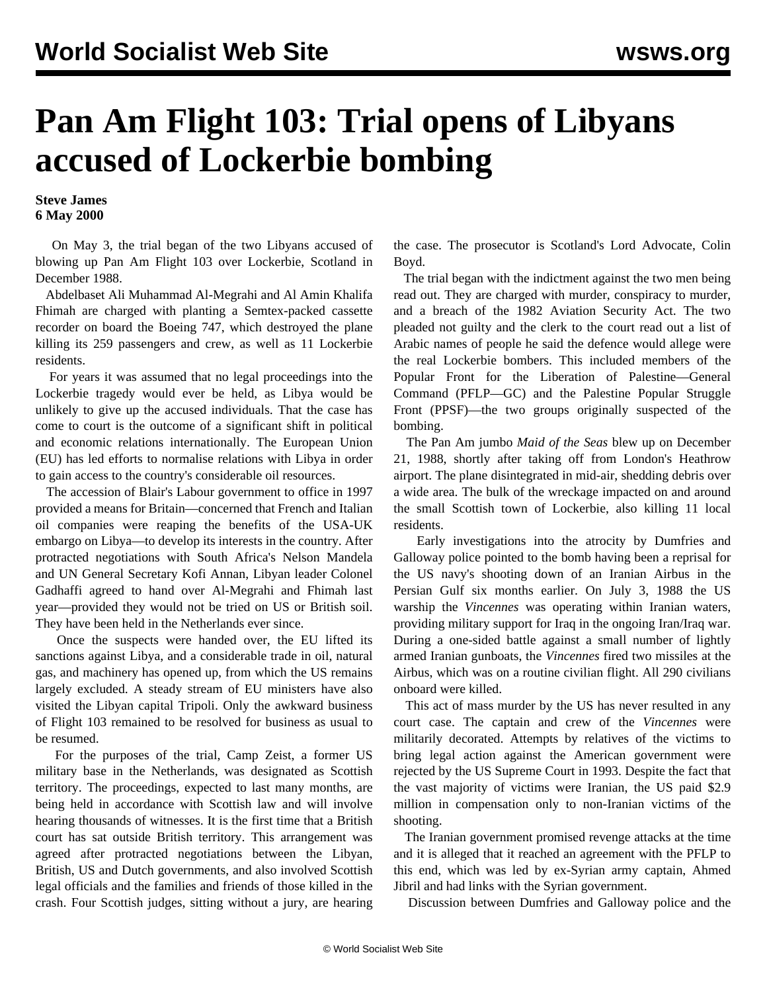## **Pan Am Flight 103: Trial opens of Libyans accused of Lockerbie bombing**

## **Steve James 6 May 2000**

 On May 3, the trial began of the two Libyans accused of blowing up Pan Am Flight 103 over Lockerbie, Scotland in December 1988.

 Abdelbaset Ali Muhammad Al-Megrahi and Al Amin Khalifa Fhimah are charged with planting a Semtex-packed cassette recorder on board the Boeing 747, which destroyed the plane killing its 259 passengers and crew, as well as 11 Lockerbie residents.

 For years it was assumed that no legal proceedings into the Lockerbie tragedy would ever be held, as Libya would be unlikely to give up the accused individuals. That the case has come to court is the outcome of a significant shift in political and economic relations internationally. The European Union (EU) has led efforts to normalise relations with Libya in order to gain access to the country's considerable oil resources.

 The accession of Blair's Labour government to office in 1997 provided a means for Britain—concerned that French and Italian oil companies were reaping the benefits of the USA-UK embargo on Libya—to develop its interests in the country. After protracted negotiations with South Africa's Nelson Mandela and UN General Secretary Kofi Annan, Libyan leader Colonel Gadhaffi agreed to hand over Al-Megrahi and Fhimah last year—provided they would not be tried on US or British soil. They have been held in the Netherlands ever since.

 Once the suspects were handed over, the EU lifted its sanctions against Libya, and a considerable trade in oil, natural gas, and machinery has opened up, from which the US remains largely excluded. A steady stream of EU ministers have also visited the Libyan capital Tripoli. Only the awkward business of Flight 103 remained to be resolved for business as usual to be resumed.

 For the purposes of the trial, Camp Zeist, a former US military base in the Netherlands, was designated as Scottish territory. The proceedings, expected to last many months, are being held in accordance with Scottish law and will involve hearing thousands of witnesses. It is the first time that a British court has sat outside British territory. This arrangement was agreed after protracted negotiations between the Libyan, British, US and Dutch governments, and also involved Scottish legal officials and the families and friends of those killed in the crash. Four Scottish judges, sitting without a jury, are hearing the case. The prosecutor is Scotland's Lord Advocate, Colin Boyd.

 The trial began with the indictment against the two men being read out. They are charged with murder, conspiracy to murder, and a breach of the 1982 Aviation Security Act. The two pleaded not guilty and the clerk to the court read out a list of Arabic names of people he said the defence would allege were the real Lockerbie bombers. This included members of the Popular Front for the Liberation of Palestine—General Command (PFLP—GC) and the Palestine Popular Struggle Front (PPSF)—the two groups originally suspected of the bombing.

 The Pan Am jumbo *Maid of the Seas* blew up on December 21, 1988, shortly after taking off from London's Heathrow airport. The plane disintegrated in mid-air, shedding debris over a wide area. The bulk of the wreckage impacted on and around the small Scottish town of Lockerbie, also killing 11 local residents.

 Early investigations into the atrocity by Dumfries and Galloway police pointed to the bomb having been a reprisal for the US navy's shooting down of an Iranian Airbus in the Persian Gulf six months earlier. On July 3, 1988 the US warship the *Vincennes* was operating within Iranian waters, providing military support for Iraq in the ongoing Iran/Iraq war. During a one-sided battle against a small number of lightly armed Iranian gunboats, the *Vincennes* fired two missiles at the Airbus, which was on a routine civilian flight. All 290 civilians onboard were killed.

 This act of mass murder by the US has never resulted in any court case. The captain and crew of the *Vincennes* were militarily decorated. Attempts by relatives of the victims to bring legal action against the American government were rejected by the US Supreme Court in 1993. Despite the fact that the vast majority of victims were Iranian, the US paid \$2.9 million in compensation only to non-Iranian victims of the shooting.

 The Iranian government promised revenge attacks at the time and it is alleged that it reached an agreement with the PFLP to this end, which was led by ex-Syrian army captain, Ahmed Jibril and had links with the Syrian government.

Discussion between Dumfries and Galloway police and the